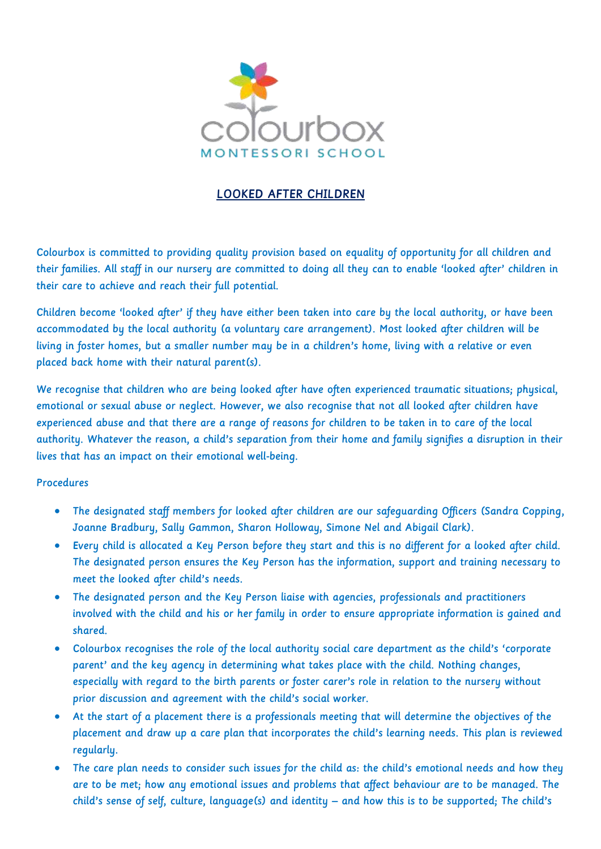

## LOOKED AFTER CHILDREN

Colourbox is committed to providing quality provision based on equality of opportunity for all children and their families. All staff in our nursery are committed to doing all they can to enable 'looked after' children in their care to achieve and reach their full potential.

Children become 'looked after' if they have either been taken into care by the local authority, or have been accommodated by the local authority (a voluntary care arrangement). Most looked after children will be living in foster homes, but a smaller number may be in a children's home, living with a relative or even placed back home with their natural parent(s).

We recognise that children who are being looked after have often experienced traumatic situations; physical, emotional or sexual abuse or neglect. However, we also recognise that not all looked after children have experienced abuse and that there are a range of reasons for children to be taken in to care of the local authority. Whatever the reason, a child's separation from their home and family signifies a disruption in their lives that has an impact on their emotional well-being.

## Procedures

- The designated staff members for looked after children are our safeguarding Officers (Sandra Copping, Joanne Bradbury, Sally Gammon, Sharon Holloway, Simone Nel and Abigail Clark).
- Every child is allocated a Key Person before they start and this is no different for a looked after child. The designated person ensures the Key Person has the information, support and training necessary to meet the looked after child's needs.
- The designated person and the Key Person liaise with agencies, professionals and practitioners involved with the child and his or her family in order to ensure appropriate information is gained and shared.
- Colourbox recognises the role of the local authority social care department as the child's 'corporate parent' and the key agency in determining what takes place with the child. Nothing changes, especially with regard to the birth parents or foster carer's role in relation to the nursery without prior discussion and agreement with the child's social worker.
- At the start of a placement there is a professionals meeting that will determine the objectives of the placement and draw up a care plan that incorporates the child's learning needs. This plan is reviewed regularly.
- The care plan needs to consider such issues for the child as: the child's emotional needs and how they are to be met; how any emotional issues and problems that affect behaviour are to be managed. The child's sense of self, culture, language(s) and identity – and how this is to be supported; The child's